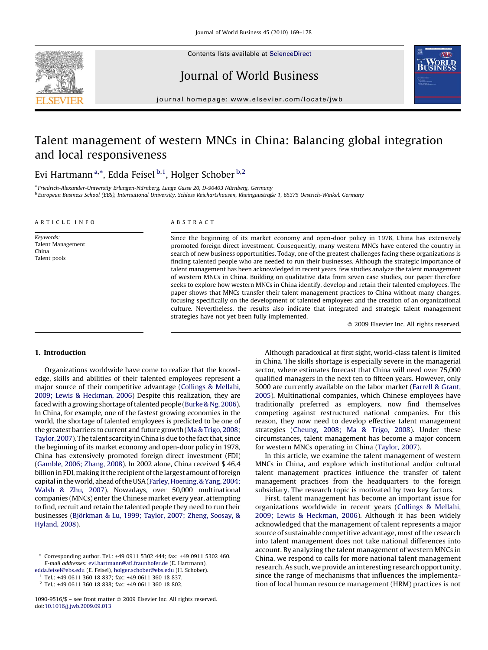

Contents lists available at [ScienceDirect](http://www.sciencedirect.com/science/journal/10909516)

Journal of World Business



journal homepage: www.el sevier.com/locate/jwb

## Talent management of western MNCs in China: Balancing global integration and local responsiveness

### Evi Hartmann<sup>a,\*</sup>, Edda Feisel <sup>b,1</sup>, Holger Schober <sup>b,2</sup>

<sup>a</sup> Friedrich-Alexander-University Erlangen-Nürnberg, Lange Gasse 20, D-90403 Nürnberg, Germany <sup>b</sup> European Business School (EBS), International University, Schloss Reichartshausen, Rheingaustraße 1, 65375 Oestrich-Winkel, Germany

#### ARTICLE INFO

Keywords: Talent Management China Talent pools

#### ABSTRACT

Since the beginning of its market economy and open-door policy in 1978, China has extensively promoted foreign direct investment. Consequently, many western MNCs have entered the country in search of new business opportunities. Today, one of the greatest challenges facing these organizations is finding talented people who are needed to run their businesses. Although the strategic importance of talent management has been acknowledged in recent years, few studies analyze the talent management of western MNCs in China. Building on qualitative data from seven case studies, our paper therefore seeks to explore how western MNCs in China identify, develop and retain their talented employees. The paper shows that MNCs transfer their talent management practices to China without many changes, focusing specifically on the development of talented employees and the creation of an organizational culture. Nevertheless, the results also indicate that integrated and strategic talent management strategies have not yet been fully implemented.

 $\odot$  2009 Elsevier Inc. All rights reserved.

#### 1. Introduction

Organizations worldwide have come to realize that the knowledge, skills and abilities of their talented employees represent a major source of their competitive advantage [\(Collings & Mellahi,](#page--1-0) [2009; Lewis & Heckman, 2006](#page--1-0)) Despite this realization, they are faced with a growing shortage of talented people ([Burke & Ng, 2006\)](#page--1-0). In China, for example, one of the fastest growing economies in the world, the shortage of talented employees is predicted to be one of the greatest barriers to current and future growth ([Ma & Trigo, 2008;](#page--1-0) [Taylor, 2007](#page--1-0)). The talent scarcity in China is due to the fact that, since the beginning of its market economy and open-door policy in 1978, China has extensively promoted foreign direct investment (FDI) ([Gamble, 2006; Zhang, 2008](#page--1-0)). In 2002 alone, China received \$ 46.4 billion in FDI, making it the recipient of the largest amount of foreign capital in the world, ahead of the USA [\(Farley, Hoening, & Yang, 2004;](#page--1-0) [Walsh & Zhu, 2007](#page--1-0)). Nowadays, over 50,000 multinational companies (MNCs) enter the Chinese market every year, attempting to find, recruit and retain the talented people they need to run their businesses (Bjö[rkman & Lu, 1999; Taylor, 2007; Zheng, Soosay, &](#page--1-0) [Hyland, 2008\)](#page--1-0).

<sup>1</sup> Tel.: +49 0611 360 18 837; fax: +49 0611 360 18 837.

Although paradoxical at first sight, world-class talent is limited in China. The skills shortage is especially severe in the managerial sector, where estimates forecast that China will need over 75,000 qualified managers in the next ten to fifteen years. However, only 5000 are currently available on the labor market ([Farrell & Grant,](#page--1-0) [2005\)](#page--1-0). Multinational companies, which Chinese employees have traditionally preferred as employers, now find themselves competing against restructured national companies. For this reason, they now need to develop effective talent management strategies ([Cheung, 2008; Ma & Trigo, 2008\)](#page--1-0). Under these circumstances, talent management has become a major concern for western MNCs operating in China [\(Taylor, 2007](#page--1-0)).

In this article, we examine the talent management of western MNCs in China, and explore which institutional and/or cultural talent management practices influence the transfer of talent management practices from the headquarters to the foreign subsidiary. The research topic is motivated by two key factors.

First, talent management has become an important issue for organizations worldwide in recent years [\(Collings & Mellahi,](#page--1-0) [2009; Lewis & Heckman, 2006\)](#page--1-0). Although it has been widely acknowledged that the management of talent represents a major source of sustainable competitive advantage, most of the research into talent management does not take national differences into account. By analyzing the talent management of western MNCs in China, we respond to calls for more national talent management research. As such, we provide an interesting research opportunity, since the range of mechanisms that influences the implementation of local human resource management (HRM) practices is not

Corresponding author. Tel.: +49 0911 5302 444; fax: +49 0911 5302 460. E-mail addresses: [evi.hartmann@atl.fraunhofer.de](mailto:evi.hartmann@atl.fraunhofer.de) (E. Hartmann), [edda.feisel@ebs.edu](mailto:edda.feisel@ebs.edu) (E. Feisel), [holger.schober@ebs.edu](mailto:holger.schober@ebs.edu) (H. Schober).

<sup>2</sup> Tel.: +49 0611 360 18 838; fax: +49 0611 360 18 802.

<sup>1090-9516/\$ -</sup> see front matter @ 2009 Elsevier Inc. All rights reserved. doi:[10.1016/j.jwb.2009.09.013](http://dx.doi.org/10.1016/j.jwb.2009.09.013)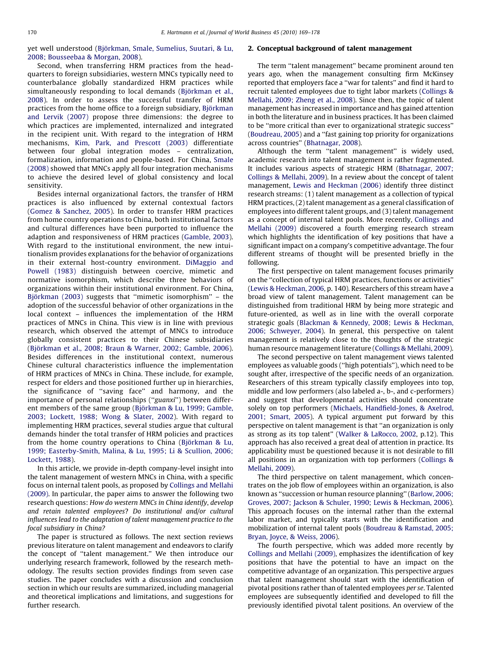yet well understood (Bjö[rkman, Smale, Sumelius, Suutari, & Lu,](#page--1-0) [2008; Bousseebaa & Morgan, 2008\)](#page--1-0).

Second, when transferring HRM practices from the headquarters to foreign subsidiaries, western MNCs typically need to counterbalance globally standardized HRM practices while simultaneously responding to local demands (Bjö[rkman et al.,](#page--1-0) [2008](#page--1-0)). In order to assess the successful transfer of HRM practices from the home office to a foreign subsidiary, Bjö[rkman](#page--1-0) [and Lervik \(2007\)](#page--1-0) propose three dimensions: the degree to which practices are implemented, internalized and integrated in the recipient unit. With regard to the integration of HRM mechanisms, [Kim, Park, and Prescott \(2003\)](#page--1-0) differentiate between four global integration modes – centralization, formalization, information and people-based. For China, [Smale](#page--1-0) [\(2008\)](#page--1-0) showed that MNCs apply all four integration mechanisms to achieve the desired level of global consistency and local sensitivity.

Besides internal organizational factors, the transfer of HRM practices is also influenced by external contextual factors ([Gomez & Sanchez, 2005\)](#page--1-0). In order to transfer HRM practices from home country operations to China, both institutional factors and cultural differences have been purported to influence the adaption and responsiveness of HRM practices ([Gamble, 2003\)](#page--1-0). With regard to the institutional environment, the new intuitionalism provides explanations for the behavior of organizations in their external host-country environment. [DiMaggio and](#page--1-0) [Powell \(1983\)](#page--1-0) distinguish between coercive, mimetic and normative isomorphism, which describe three behaviors of organizations within their institutional environment. For China, Bjö[rkman \(2003\)](#page--1-0) suggests that "mimetic isomorphism" – the adoption of the successful behavior of other organizations in the local context – influences the implementation of the HRM practices of MNCs in China. This view is in line with previous research, which observed the attempt of MNCs to introduce globally consistent practices to their Chinese subsidiaries (Bjö[rkman et al., 2008; Braun & Warner, 2002; Gamble, 2006\)](#page--1-0). Besides differences in the institutional context, numerous Chinese cultural characteristics influence the implementation of HRM practices of MNCs in China. These include, for example, respect for elders and those positioned further up in hierarchies, the significance of ''saving face'' and harmony, and the importance of personal relationships ("guanxi") between different members of the same group (Bjö[rkman & Lu, 1999; Gamble,](#page--1-0) [2003; Lockett, 1988; Wong & Slater, 2002](#page--1-0)). With regard to implementing HRM practices, several studies argue that cultural demands hinder the total transfer of HRM policies and practices from the home country operations to China (Bjö[rkman & Lu,](#page--1-0) [1999; Easterby-Smith, Malina, & Lu, 1995; Li & Scullion, 2006;](#page--1-0) [Lockett, 1988\)](#page--1-0).

In this article, we provide in-depth company-level insight into the talent management of western MNCs in China, with a specific focus on internal talent pools, as proposed by [Collings and Mellahi](#page--1-0) [\(2009\).](#page--1-0) In particular, the paper aims to answer the following two research questions: How do western MNCs in China identify, develop and retain talented employees? Do institutional and/or cultural influences lead to the adaptation of talent management practice to the focal subsidiary in China?

The paper is structured as follows. The next section reviews previous literature on talent management and endeavors to clarify the concept of ''talent management.'' We then introduce our underlying research framework, followed by the research methodology. The results section provides findings from seven case studies. The paper concludes with a discussion and conclusion section in which our results are summarized, including managerial and theoretical implications and limitations, and suggestions for further research.

#### 2. Conceptual background of talent management

The term ''talent management'' became prominent around ten years ago, when the management consulting firm McKinsey reported that employers face a ''war for talents'' and find it hard to recruit talented employees due to tight labor markets [\(Collings &](#page--1-0) [Mellahi, 2009; Zheng et al., 2008\)](#page--1-0). Since then, the topic of talent management has increased in importance and has gained attention in both the literature and in business practices. It has been claimed to be ''more critical than ever to organizational strategic success'' ([Boudreau, 2005](#page--1-0)) and a ''fast gaining top priority for organizations across countries'' [\(Bhatnagar, 2008](#page--1-0)).

Although the term "talent management" is widely used, academic research into talent management is rather fragmented. It includes various aspects of strategic HRM ([Bhatnagar, 2007;](#page--1-0) [Collings & Mellahi, 2009](#page--1-0)). In a review about the concept of talent management, [Lewis and Heckman \(2006\)](#page--1-0) identify three distinct research streams: (1) talent management as a collection of typical HRM practices, (2) talent management as a general classification of employees into different talent groups, and (3) talent management as a concept of internal talent pools. More recently, [Collings and](#page--1-0) [Mellahi \(2009\)](#page--1-0) discovered a fourth emerging research stream which highlights the identification of key positions that have a significant impact on a company's competitive advantage. The four different streams of thought will be presented briefly in the following.

The first perspective on talent management focuses primarily on the ''collection of typical HRM practices, functions or activities'' ([Lewis & Heckman, 2006,](#page--1-0) p. 140). Researchers of this stream have a broad view of talent management. Talent management can be distinguished from traditional HRM by being more strategic and future-oriented, as well as in line with the overall corporate strategic goals ([Blackman & Kennedy, 2008; Lewis & Heckman,](#page--1-0) [2006; Schweyer, 2004](#page--1-0)). In general, this perspective on talent management is relatively close to the thoughts of the strategic human resource management literature ([Collings & Mellahi, 2009\)](#page--1-0).

The second perspective on talent management views talented employees as valuable goods (''high potentials''), which need to be sought after, irrespective of the specific needs of an organization. Researchers of this stream typically classify employees into top, middle and low performers (also labeled a-, b-, and c-performers) and suggest that developmental activities should concentrate solely on top performers ([Michaels, Handfield-Jones, & Axelrod,](#page--1-0) [2001; Smart, 2005](#page--1-0)). A typical argument put forward by this perspective on talent management is that ''an organization is only as strong as its top talent'' [\(Walker & LaRocco, 2002](#page--1-0), p.12). This approach has also received a great deal of attention in practice. Its applicability must be questioned because it is not desirable to fill all positions in an organization with top performers [\(Collings &](#page--1-0) [Mellahi, 2009](#page--1-0)).

The third perspective on talent management, which concentrates on the job flow of employees within an organization, is also known as ''succession or human resource planning'' [\(Barlow, 2006;](#page--1-0) [Groves, 2007; Jackson & Schuler, 1990; Lewis & Heckman, 2006\)](#page--1-0). This approach focuses on the internal rather than the external labor market, and typically starts with the identification and mobilization of internal talent pools ([Boudreau & Ramstad, 2005;](#page--1-0) [Bryan, Joyce, & Weiss, 2006\)](#page--1-0).

The fourth perspective, which was added more recently by [Collings and Mellahi \(2009\)](#page--1-0), emphasizes the identification of key positions that have the potential to have an impact on the competitive advantage of an organization. This perspective argues that talent management should start with the identification of pivotal positions rather than of talented employees per se. Talented employees are subsequently identified and developed to fill the previously identified pivotal talent positions. An overview of the